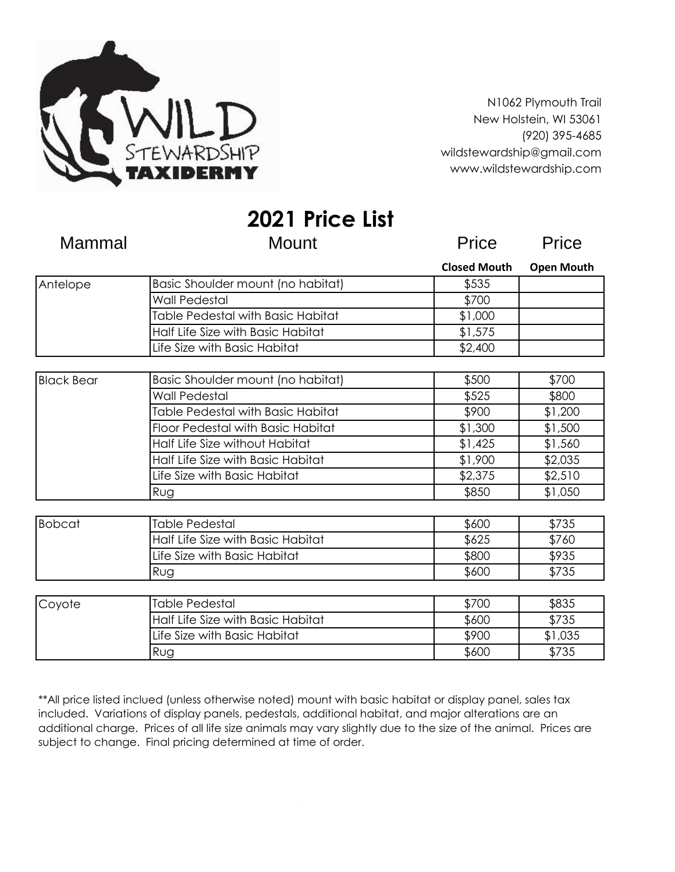

N1062 Plymouth Trail New Holstein, WI 53061 (920) 395-4685 wildstewardship@gmail.com www.wildstewardship.com

**2021 Price List**

| Mammal            | <b>Mount</b>                      | <b>Price</b>        | Price             |
|-------------------|-----------------------------------|---------------------|-------------------|
|                   |                                   | <b>Closed Mouth</b> | <b>Open Mouth</b> |
| Antelope          | Basic Shoulder mount (no habitat) | \$535               |                   |
|                   | Wall Pedestal                     | \$700               |                   |
|                   | Table Pedestal with Basic Habitat | \$1,000             |                   |
|                   | Half Life Size with Basic Habitat | \$1,575             |                   |
|                   | Life Size with Basic Habitat      | \$2,400             |                   |
|                   |                                   |                     |                   |
| <b>Black Bear</b> | Basic Shoulder mount (no habitat) | \$500               | \$700             |
|                   | <b>Wall Pedestal</b>              | \$525               | \$800             |
|                   | Table Pedestal with Basic Habitat | \$900               | \$1,200           |
|                   | Floor Pedestal with Basic Habitat | \$1,300             | \$1,500           |
|                   | Half Life Size without Habitat    | \$1,425             | \$1,560           |
|                   | Half Life Size with Basic Habitat | \$1,900             | \$2,035           |
|                   | Life Size with Basic Habitat      | \$2,375             | \$2,510           |
|                   | Rug                               | \$850               | \$1,050           |
|                   |                                   |                     |                   |
| <b>Bobcat</b>     | <b>Table Pedestal</b>             | \$600               | \$735             |
|                   | Half Life Size with Basic Habitat | \$625               | \$760             |
|                   | Life Size with Basic Habitat      | \$800               | \$935             |
|                   | Rug                               | \$600               | \$735             |
| Coyote            | <b>Table Pedestal</b>             | \$700               | \$835             |
|                   |                                   |                     |                   |
|                   | Half Life Size with Basic Habitat | \$600               | \$735             |
|                   | Life Size with Basic Habitat      | \$900               | \$1,035           |
|                   | Rug                               | \$600               | \$735             |

\*\*All price listed inclued (unless otherwise noted) mount with basic habitat or display panel, sales tax included. Variations of display panels, pedestals, additional habitat, and major alterations are an additional charge. Prices of all life size animals may vary slightly due to the size of the animal. Prices are subject to change. Final pricing determined at time of order.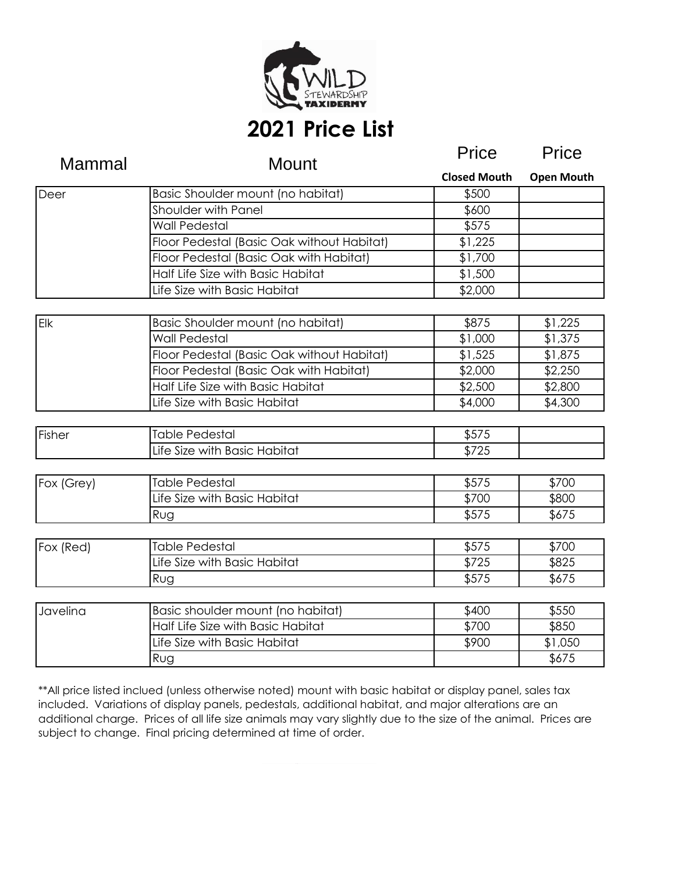

# **2021 Price List**

| Mammal     | <b>Mount</b>                                   | Price               | Price             |
|------------|------------------------------------------------|---------------------|-------------------|
|            |                                                | <b>Closed Mouth</b> | <b>Open Mouth</b> |
| Deer       | Basic Shoulder mount (no habitat)              | \$500               |                   |
|            | <b>Shoulder with Panel</b>                     | \$600               |                   |
|            | <b>Wall Pedestal</b>                           | \$575               |                   |
|            | Floor Pedestal (Basic Oak without Habitat)     | \$1,225             |                   |
|            | <b>Floor Pedestal (Basic Oak with Habitat)</b> | \$1,700             |                   |
|            | Half Life Size with Basic Habitat              | \$1,500             |                   |
|            | Life Size with Basic Habitat                   | \$2,000             |                   |
| Elk        | Basic Shoulder mount (no habitat)              | \$875               | \$1,225           |
|            | <b>Wall Pedestal</b>                           | \$1,000             | \$1,375           |
|            | Floor Pedestal (Basic Oak without Habitat)     | \$1,525             | \$1,875           |
|            | Floor Pedestal (Basic Oak with Habitat)        | \$2,000             | \$2,250           |
|            | Half Life Size with Basic Habitat              | \$2,500             | \$2,800           |
|            | Life Size with Basic Habitat                   | \$4,000             | \$4,300           |
|            |                                                |                     |                   |
| Fisher     | <b>Table Pedestal</b>                          | \$575               |                   |
|            | Life Size with Basic Habitat                   | \$725               |                   |
| Fox (Grey) | <b>Table Pedestal</b>                          | \$575               | \$700             |
|            | Life Size with Basic Habitat                   | \$700               | \$800             |
|            | Rug                                            | \$575               | \$675             |
|            |                                                |                     |                   |
| Fox (Red)  | <b>Table Pedestal</b>                          | \$575               | \$700             |
|            | Life Size with Basic Habitat                   | \$725               | \$825             |
|            | Rug                                            | \$575               | \$675             |
| Javelina   | Basic shoulder mount (no habitat)              | \$400               | \$550             |
|            | Half Life Size with Basic Habitat              | \$700               | \$850             |
|            | Life Size with Basic Habitat                   | \$900               | \$1,050           |
|            | Rug                                            |                     | \$675             |

\*\*All price listed inclued (unless otherwise noted) mount with basic habitat or display panel, sales tax included. Variations of display panels, pedestals, additional habitat, and major alterations are an additional charge. Prices of all life size animals may vary slightly due to the size of the animal. Prices are subject to change. Final pricing determined at time of order.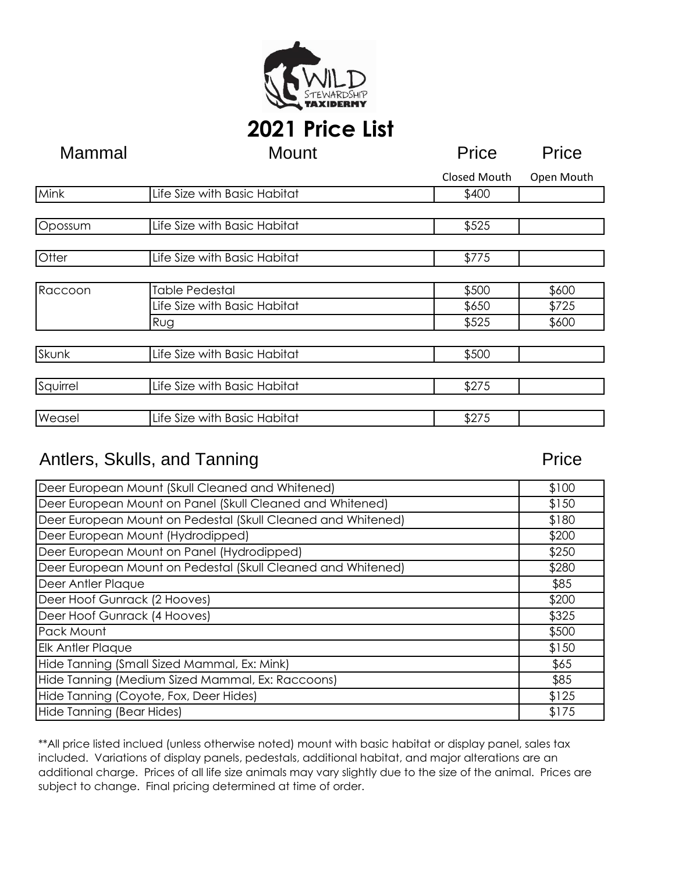

## **2021 Price List**

| Mammal   | <b>Mount</b>                 | Price        | Price      |
|----------|------------------------------|--------------|------------|
|          |                              | Closed Mouth | Open Mouth |
| Mink     | Life Size with Basic Habitat | \$400        |            |
|          |                              |              |            |
| Opossum  | Life Size with Basic Habitat | \$525        |            |
|          |                              |              |            |
| Otter    | Life Size with Basic Habitat | \$775        |            |
|          |                              |              |            |
| Raccoon  | <b>Table Pedestal</b>        | \$500        | \$600      |
|          | Life Size with Basic Habitat | \$650        | \$725      |
|          | Rug                          | \$525        | \$600      |
|          |                              |              |            |
| Skunk    | Life Size with Basic Habitat | \$500        |            |
|          |                              |              |            |
| Squirrel | Life Size with Basic Habitat | \$275        |            |
|          |                              |              |            |
| Weasel   | Life Size with Basic Habitat | \$275        |            |

#### Antlers, Skulls, and Tanning Price

| Deer European Mount (Skull Cleaned and Whitened)             | \$100 |
|--------------------------------------------------------------|-------|
| Deer European Mount on Panel (Skull Cleaned and Whitened)    |       |
| Deer European Mount on Pedestal (Skull Cleaned and Whitened) |       |
| Deer European Mount (Hydrodipped)                            |       |
| Deer European Mount on Panel (Hydrodipped)                   | \$250 |
| Deer European Mount on Pedestal (Skull Cleaned and Whitened) | \$280 |
| Deer Antler Plaque                                           | \$85  |
| Deer Hoof Gunrack (2 Hooves)                                 | \$200 |
| Deer Hoof Gunrack (4 Hooves)                                 | \$325 |
| Pack Mount                                                   | \$500 |
| <b>Elk Antler Plaque</b>                                     |       |
| Hide Tanning (Small Sized Mammal, Ex: Mink)                  | \$65  |
| Hide Tanning (Medium Sized Mammal, Ex: Raccoons)             | \$85  |
| Hide Tanning (Coyote, Fox, Deer Hides)                       | \$125 |
| Hide Tanning (Bear Hides)                                    |       |

\*\*All price listed inclued (unless otherwise noted) mount with basic habitat or display panel, sales tax included. Variations of display panels, pedestals, additional habitat, and major alterations are an additional charge. Prices of all life size animals may vary slightly due to the size of the animal. Prices are subject to change. Final pricing determined at time of order.